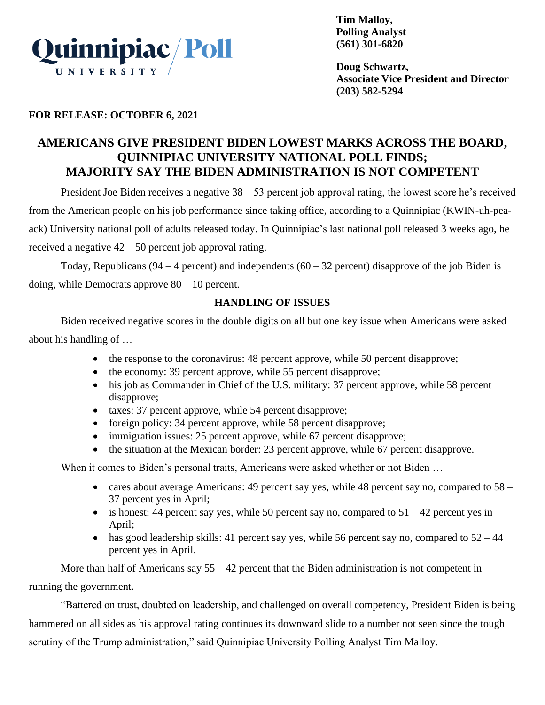

**Tim Malloy, Polling Analyst (561) 301-6820**

**Doug Schwartz, Associate Vice President and Director (203) 582-5294**

## **FOR RELEASE: OCTOBER 6, 2021**

# **AMERICANS GIVE PRESIDENT BIDEN LOWEST MARKS ACROSS THE BOARD, QUINNIPIAC UNIVERSITY NATIONAL POLL FINDS; MAJORITY SAY THE BIDEN ADMINISTRATION IS NOT COMPETENT**

President Joe Biden receives a negative 38 – 53 percent job approval rating, the lowest score he's received from the American people on his job performance since taking office, according to a Quinnipiac (KWIN-uh-peaack) University national poll of adults released today. In Quinnipiac's last national poll released 3 weeks ago, he received a negative 42 – 50 percent job approval rating.

Today, Republicans ( $94 - 4$  percent) and independents ( $60 - 32$  percent) disapprove of the job Biden is doing, while Democrats approve  $80 - 10$  percent.

## **HANDLING OF ISSUES**

Biden received negative scores in the double digits on all but one key issue when Americans were asked about his handling of …

- the response to the coronavirus: 48 percent approve, while 50 percent disapprove;
- the economy: 39 percent approve, while 55 percent disapprove;
- his job as Commander in Chief of the U.S. military: 37 percent approve, while 58 percent disapprove;
- taxes: 37 percent approve, while 54 percent disapprove;
- foreign policy: 34 percent approve, while 58 percent disapprove;
- immigration issues: 25 percent approve, while 67 percent disapprove;
- the situation at the Mexican border: 23 percent approve, while 67 percent disapprove.

When it comes to Biden's personal traits, Americans were asked whether or not Biden …

- cares about average Americans: 49 percent say yes, while 48 percent say no, compared to  $58 -$ 37 percent yes in April;
- is honest: 44 percent say yes, while 50 percent say no, compared to  $51 42$  percent yes in April;
- has good leadership skills: 41 percent say yes, while 56 percent say no, compared to  $52 44$ percent yes in April.

More than half of Americans say  $55 - 42$  percent that the Biden administration is not competent in running the government.

"Battered on trust, doubted on leadership, and challenged on overall competency, President Biden is being hammered on all sides as his approval rating continues its downward slide to a number not seen since the tough scrutiny of the Trump administration," said Quinnipiac University Polling Analyst Tim Malloy.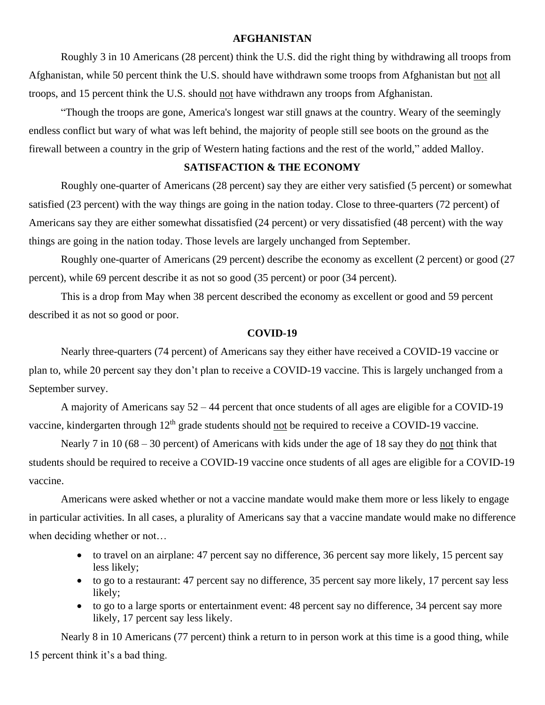#### **AFGHANISTAN**

Roughly 3 in 10 Americans (28 percent) think the U.S. did the right thing by withdrawing all troops from Afghanistan, while 50 percent think the U.S. should have withdrawn some troops from Afghanistan but not all troops, and 15 percent think the U.S. should not have withdrawn any troops from Afghanistan.

"Though the troops are gone, America's longest war still gnaws at the country. Weary of the seemingly endless conflict but wary of what was left behind, the majority of people still see boots on the ground as the firewall between a country in the grip of Western hating factions and the rest of the world," added Malloy.

### **SATISFACTION & THE ECONOMY**

Roughly one-quarter of Americans (28 percent) say they are either very satisfied (5 percent) or somewhat satisfied (23 percent) with the way things are going in the nation today. Close to three-quarters (72 percent) of Americans say they are either somewhat dissatisfied (24 percent) or very dissatisfied (48 percent) with the way things are going in the nation today. Those levels are largely unchanged from September.

Roughly one-quarter of Americans (29 percent) describe the economy as excellent (2 percent) or good (27 percent), while 69 percent describe it as not so good (35 percent) or poor (34 percent).

This is a drop from May when 38 percent described the economy as excellent or good and 59 percent described it as not so good or poor.

#### **COVID-19**

Nearly three-quarters (74 percent) of Americans say they either have received a COVID-19 vaccine or plan to, while 20 percent say they don't plan to receive a COVID-19 vaccine. This is largely unchanged from a September survey.

A majority of Americans say 52 – 44 percent that once students of all ages are eligible for a COVID-19 vaccine, kindergarten through  $12<sup>th</sup>$  grade students should not be required to receive a COVID-19 vaccine.

Nearly 7 in 10 (68 – 30 percent) of Americans with kids under the age of 18 say they do not think that students should be required to receive a COVID-19 vaccine once students of all ages are eligible for a COVID-19 vaccine.

Americans were asked whether or not a vaccine mandate would make them more or less likely to engage in particular activities. In all cases, a plurality of Americans say that a vaccine mandate would make no difference when deciding whether or not…

- to travel on an airplane: 47 percent say no difference, 36 percent say more likely, 15 percent say less likely;
- to go to a restaurant: 47 percent say no difference, 35 percent say more likely, 17 percent say less likely;
- to go to a large sports or entertainment event: 48 percent say no difference, 34 percent say more likely, 17 percent say less likely.

Nearly 8 in 10 Americans (77 percent) think a return to in person work at this time is a good thing, while 15 percent think it's a bad thing.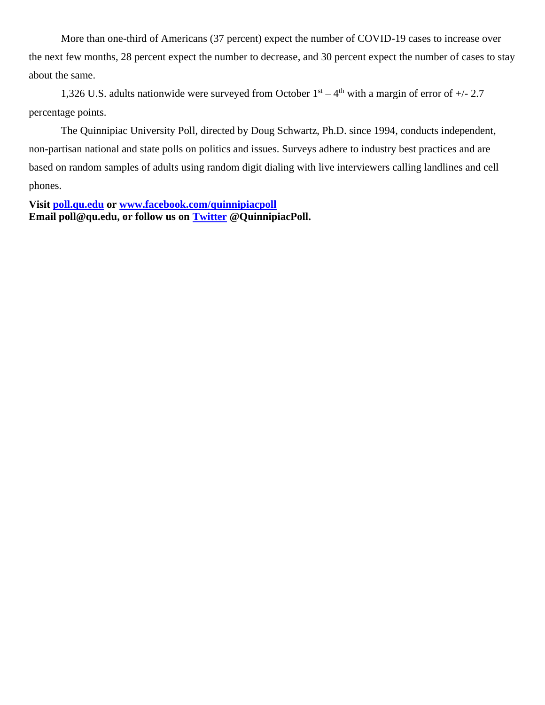More than one-third of Americans (37 percent) expect the number of COVID-19 cases to increase over the next few months, 28 percent expect the number to decrease, and 30 percent expect the number of cases to stay about the same.

1,326 U.S. adults nationwide were surveyed from October  $1<sup>st</sup> - 4<sup>th</sup>$  with a margin of error of  $+/- 2.7$ percentage points.

The Quinnipiac University Poll, directed by Doug Schwartz, Ph.D. since 1994, conducts independent, non-partisan national and state polls on politics and issues. Surveys adhere to industry best practices and are based on random samples of adults using random digit dialing with live interviewers calling landlines and cell phones.

**Visit [poll.qu.edu](https://poll.qu.edu/) or [www.facebook.com/quinnipiacpoll](http://www.facebook.com/quinnipiacpoll)  Email poll@qu.edu, or follow us on [Twitter](http://twitter.com/QuinnipiacPoll) @QuinnipiacPoll.**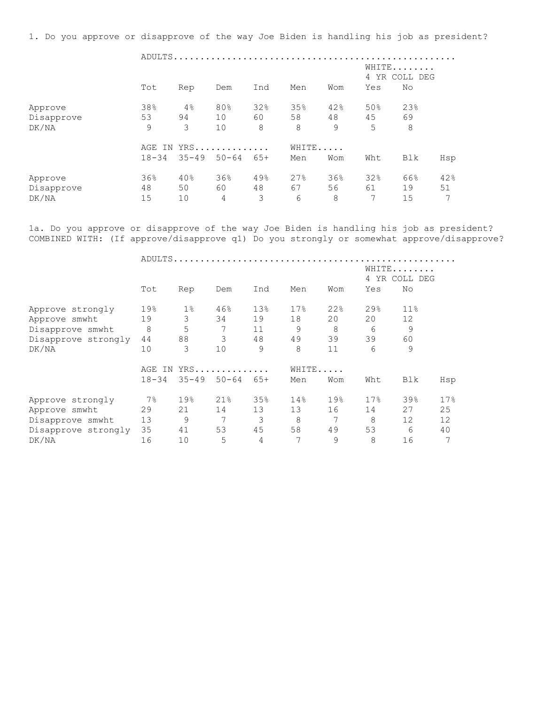1. Do you approve or disapprove of the way Joe Biden is handling his job as president?

 ADULTS..................................................... WHITE....... 4 YR COLL DEG Tot Rep Dem Ind Men Wom Yes No Approve 38% 4% 80% 32% 35% 42% 50% 23% Disapprove 53 94 10 60 58 48 45 69 DK/NA 9 3 10 8 8 9 5 8 AGE IN YRS.............. WHITE..... 18-34 35-49 50-64 65+ Men Wom Wht Blk Hsp Approve 36% 40% 36% 49% 27% 36% 32% 66% 42% Disapprove 48 50 60 48 67 56 61 19 51 DK/NA 15 10 4 3 6 8 7 15 7

1a. Do you approve or disapprove of the way Joe Biden is handling his job as president? COMBINED WITH: (If approve/disapprove q1) Do you strongly or somewhat approve/disapprove?

ADULTS.....................................................

|                     |           |           |           |       |       |     |      | WHITE<br>4 YR COLL DEG |     |
|---------------------|-----------|-----------|-----------|-------|-------|-----|------|------------------------|-----|
|                     | Tot       | Rep       | Dem       | Ind   | Men   | Wom | Yes  | No                     |     |
| Approve strongly    | 19%       | $1\%$     | 46%       | 13%   | 17%   | 22% | 29.8 | 11%                    |     |
| Approve smwht       | 19        | 3         | 34        | 19    | 18    | 20  | 20   | 12                     |     |
| Disapprove smwht    | 8         | 5         | 7         | 11    | 9     | 8   | 6    | 9                      |     |
| Disapprove strongly | 44        | 88        | 3         | 48    | 49    | 39  | 39   | 60                     |     |
| DK/NA               | 10        | 3         | 10        | 9     | 8     | 11  | 6    | 9                      |     |
|                     | AGE<br>TN |           | YRS       |       | WHITE |     |      |                        |     |
|                     | $18 - 34$ | $35 - 49$ | $50 - 64$ | $65+$ | Men   | Wom | Wht  | Blk                    | Hsp |
| Approve strongly    | $7\%$     | 19%       | 21%       | 35%   | 14%   | 19% | 17%  | 39%                    | 17% |
| Approve smwht       | 29        | 21        | 14        | 13    | 13    | 16  | 14   | 27                     | 25  |
| Disapprove smwht    | 13        | 9         | 7         | 3     | 8     | 7   | 8    | 12                     | 12  |
| Disapprove strongly | 35        | 41        | 53        | 45    | 58    | 49  | 53   | 6                      | 40  |
| DK/NA               | 16        | 10        | 5         | 4     | 7     | 9   | 8    | 16                     | 7   |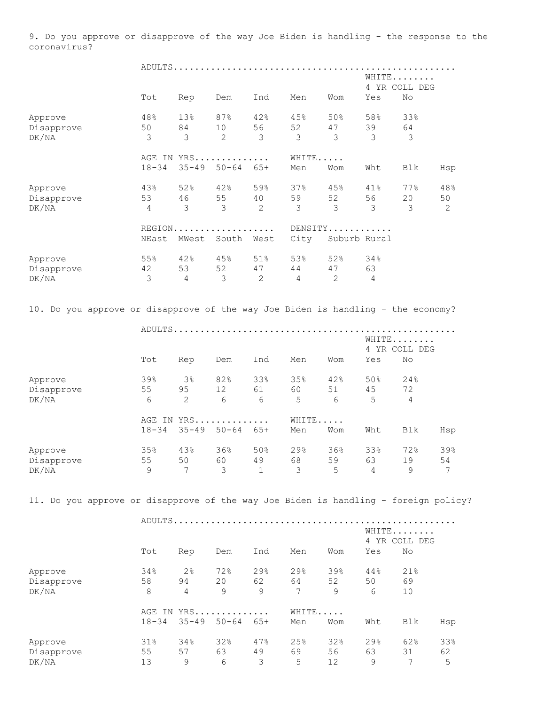9. Do you approve or disapprove of the way Joe Biden is handling - the response to the coronavirus?

|            | Tot            |                | WHITE<br>4 YR COLL DEG<br>No<br>Yes |                |                |              |                |     |     |
|------------|----------------|----------------|-------------------------------------|----------------|----------------|--------------|----------------|-----|-----|
|            |                | Rep            | Dem                                 | Ind            | Men            | Wom          |                |     |     |
| Approve    | 48%            | 13%            | 87%                                 | 42%            | 45%            | 50%          | 58%            | 33% |     |
| Disapprove | 50             | 84             | 10                                  | 56             | 52             | 47           | 39             | 64  |     |
| DK/NA      | 3              | 3              | $\overline{2}$                      | 3              | 3              | 3            | 3              | 3   |     |
|            |                |                | AGE IN YRS                          |                | WHITE          |              |                |     |     |
|            | $18 - 34$      | $35 - 49$      | $50 - 64$                           | $65+$          | Men            | Wom          | Wht            | Blk | Hsp |
| Approve    | 43%            | 52%            | 42%                                 | 59%            | 37%            | 45%          | 41%            | 77% | 48% |
| Disapprove | 53             | 46             | 55                                  | 40             | 59             | 52           | 56             | 20  | 50  |
| DK/NA      | $\overline{4}$ | 3              | 3                                   | $\overline{2}$ | 3              | 3            | 3              | 3   | 2   |
|            |                |                | REGION.                             |                |                |              | DENSITY        |     |     |
|            | NEast          | MWest          | South                               | West           | City           |              | Suburb Rural   |     |     |
| Approve    | 55%            | 42%            | 45%                                 | 51%            | 53%            | 52%          | 34%            |     |     |
| Disapprove | 42             | 53             | 52                                  | 47             | 44             | 47           | 63             |     |     |
| DK/NA      | 3              | $\overline{4}$ | 3                                   | $\mathbf{2}$   | $\overline{4}$ | $\mathbf{2}$ | $\overline{4}$ |     |     |

10. Do you approve or disapprove of the way Joe Biden is handling - the economy?

|            |           |           |            |             | WHITE<br>4 YR COLL DEG |     |     |     |     |
|------------|-----------|-----------|------------|-------------|------------------------|-----|-----|-----|-----|
|            | Tot       | Rep       | Dem        | Ind         | Men                    | Wom | Yes | No  |     |
| Approve    | 39%       | $3\%$     | 82%        | 33%         | 35%                    | 42% | 50% | 24% |     |
| Disapprove | 55        | 95        | 12         | 61          | 60                     | 51  | 45  | 72  |     |
| DK/NA      | 6         | 2         | 6          | 6           | 5                      | 6   | 5   | 4   |     |
|            |           |           | AGE IN YRS |             | WHITE                  |     |     |     |     |
|            | $18 - 34$ | $35 - 49$ | $50 - 64$  | 65+         | Men                    | Wom | Wht | Blk | Hsp |
| Approve    | 35%       | 43%       | 36%        | 50%         | 29%                    | 36% | 33% | 72% | 39% |
| Disapprove | 55        | 50        | 60         | 49          | 68                     | 59  | 63  | 19  | 54  |
| DK/NA      | 9         | 7         | 3          | $\mathbf 1$ | 3                      | 5   | 4   | 9   | 7   |

11. Do you approve or disapprove of the way Joe Biden is handling - foreign policy?

|  | 5.T I |
|--|-------|

|            | Tot                 | Rep            | Dem              | Ind   | Men | Wom          | Yes | 4 YR COLL DEG<br>No |     |
|------------|---------------------|----------------|------------------|-------|-----|--------------|-----|---------------------|-----|
| Approve    | 34%                 | 2 <sup>°</sup> | 72%              | 29%   | 29% | 39%          | 44% | 21%                 |     |
| Disapprove | 58                  | 94             | 20               | 62    | 64  | 52           | 50  | 69                  |     |
| DK/NA      | 8                   | 4              | 9                | 9     | 7   | 9            | 6   | 10                  |     |
|            | AGE IN<br>$18 - 34$ | $35 - 49$      | YRS<br>$50 - 64$ | $65+$ | Men | WHITE<br>Wom | Wht | Blk                 | Hsp |
| Approve    | 31%                 | 34%            | 32%              | 47%   | 25% | 32%          | 29% | 62%                 | 33% |
| Disapprove | 55                  | 57             | 63               | 49    | 69  | 56           | 63  | 31                  | 62  |
| DK/NA      | 13                  | 9              | 6                | 3     | 5   | 12           | 9   | 7                   | 5   |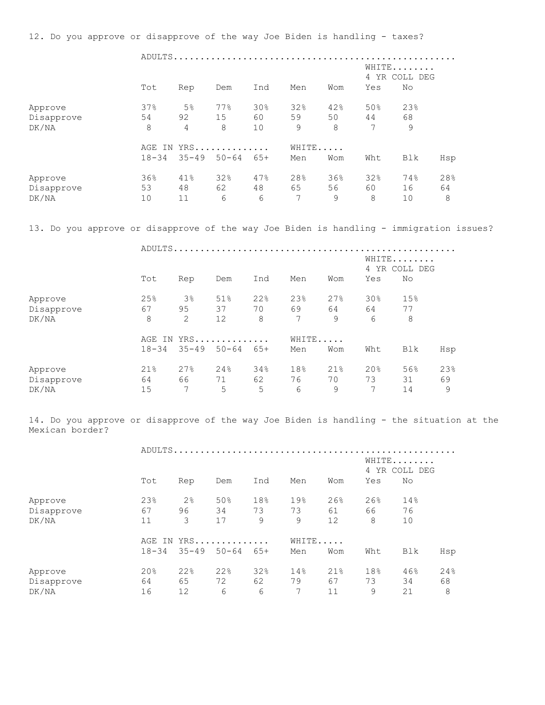12. Do you approve or disapprove of the way Joe Biden is handling - taxes?

|                                | ADULTS.         |                 |                |                        |                |                |                |                 |                |  |  |
|--------------------------------|-----------------|-----------------|----------------|------------------------|----------------|----------------|----------------|-----------------|----------------|--|--|
|                                |                 |                 |                | WHITE<br>4 YR COLL DEG |                |                |                |                 |                |  |  |
|                                | Tot             | Rep             | Dem            | Ind                    | Men            | Wom            | Yes            | No              |                |  |  |
| Approve                        | 37%             | 5 <sup>°</sup>  | 77%            | 30%                    | 32%            | 42%            | 50%            | 23%             |                |  |  |
| Disapprove                     | 54              | 92              | 15             | 60                     | 59             | 50             | 44             | 68              |                |  |  |
| DK/NA                          | 8               | 4               | 8              | 10                     | 9              | 8              | 7              | 9               |                |  |  |
|                                |                 | YRS<br>AGE IN   |                |                        |                | WHITE          |                |                 |                |  |  |
|                                | $18 - 34$       | $35 - 49$       | $50 - 64$      | 65+                    | Men            | Wom            | Wht            | Blk             | Hsp            |  |  |
| Approve<br>Disapprove<br>DK/NA | 36%<br>53<br>10 | 41%<br>48<br>11 | 32%<br>62<br>6 | 47%<br>48<br>6         | 28%<br>65<br>7 | 36%<br>56<br>9 | 32%<br>60<br>8 | 74%<br>16<br>10 | 28%<br>64<br>8 |  |  |
|                                |                 |                 |                |                        |                |                |                |                 |                |  |  |

13. Do you approve or disapprove of the way Joe Biden is handling - immigration issues?

|            | ADULTS.   |                |            |                        |       |     |                 |     |     |  |  |
|------------|-----------|----------------|------------|------------------------|-------|-----|-----------------|-----|-----|--|--|
|            |           |                |            | WHITE<br>4 YR COLL DEG |       |     |                 |     |     |  |  |
|            | Tot       | Rep            | Dem        | Ind                    | Men   | Wom | Yes             | No  |     |  |  |
| Approve    | 25%       | 3 <sup>°</sup> | 51%        | 22%                    | 23%   | 27% | 30 <sub>8</sub> | 15% |     |  |  |
| Disapprove | 67        | 95             | 37         | 70                     | 69    | 64  | 64              | 77  |     |  |  |
| DK/NA      | 8         | 2              | 12         | 8                      | 7     | 9   | 6               | 8   |     |  |  |
|            |           |                | AGE IN YRS |                        | WHITE |     |                 |     |     |  |  |
|            | $18 - 34$ | $35 - 49$      | $50 - 64$  | 65+                    | Men   | Wom | Wht             | Blk | Hsp |  |  |
| Approve    | 21%       | 27%            | 24%        | 34%                    | 18%   | 21% | 20%             | 56% | 23% |  |  |
| Disapprove | 64        | 66             | 71         | 62                     | 76    | 70  | 73              | 31  | 69  |  |  |
| DK/NA      | 15        | 7              | 5          | 5                      | 6     | 9   | 7               | 14  | 9   |  |  |

14. Do you approve or disapprove of the way Joe Biden is handling - the situation at the Mexican border?

 ADULTS..................................................... WHITE....... 4 YR COLL DEG Tot Rep Dem Ind Men Wom Yes No Approve 23% 2% 50% 18% 19% 26% 26% 14% Disapprove 67 96 34 73 73 61 66 76 DK/NA 11 3 17 9 9 12 8 10 AGE IN YRS............... WHITE...... 18-34 35-49 50-64 65+ Men Wom Wht Blk Hsp Approve 20% 22% 22% 32% 14% 21% 18% 46% 24% Disapprove 64 65 72 62 79 67 73 34 68 DK/NA 16 12 6 6 7 11 9 21 8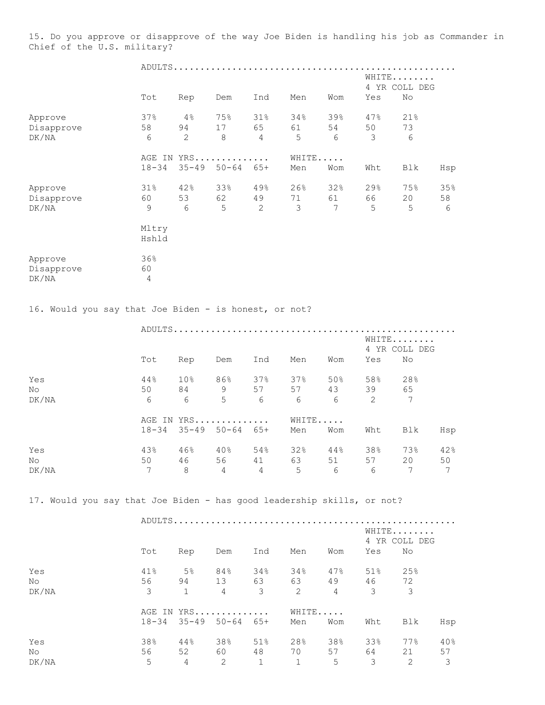15. Do you approve or disapprove of the way Joe Biden is handling his job as Commander in Chief of the U.S. military?

|                                                                        | WHITE<br>4 YR COLL DEG |                 |                                          |                |              |                 |           |                     |           |  |
|------------------------------------------------------------------------|------------------------|-----------------|------------------------------------------|----------------|--------------|-----------------|-----------|---------------------|-----------|--|
|                                                                        | Tot                    | Rep             | Dem                                      | Ind            | Men          | Wom             | Yes       | No                  |           |  |
| Approve<br>Disapprove                                                  | 37%<br>58              | 4%<br>94        | 75%<br>17                                | 31%<br>65      | 34%<br>61    | 39%<br>54       | 47%<br>50 | 21%<br>73           |           |  |
| DK/NA                                                                  | 6                      | $\mathbf{2}$    | $\,8\,$                                  | $\overline{4}$ | 5            | 6               | 3         | 6                   |           |  |
|                                                                        |                        |                 | AGE IN YRS                               |                | WHITE        |                 |           |                     |           |  |
|                                                                        | $18 - 34$              | $35 - 49$       | $50 - 64$ $65 +$                         |                | Men          | Wom             | Wht       | Blk                 | Hsp       |  |
| Approve<br>Disapprove                                                  | 31%<br>60              | 42%<br>53       | 33%<br>62                                | 49%<br>49      | 26%<br>71    | 32%<br>61       | 29%<br>66 | 75%<br>20           | 35%<br>58 |  |
| DK/NA                                                                  | 9                      | 6               | 5                                        | $\overline{2}$ | 3            | $7\phantom{.0}$ | 5         | 5                   | 6         |  |
|                                                                        | Mltry<br>Hshld         |                 |                                          |                |              |                 |           |                     |           |  |
| Approve<br>Disapprove<br>DK/NA                                         | 36%<br>60<br>4         |                 |                                          |                |              |                 |           |                     |           |  |
|                                                                        |                        |                 |                                          |                |              |                 |           |                     |           |  |
| 16. Would you say that Joe Biden - is honest, or not?                  |                        |                 |                                          |                |              |                 |           |                     |           |  |
|                                                                        |                        |                 |                                          |                |              |                 |           |                     |           |  |
|                                                                        |                        |                 |                                          |                |              |                 |           | WHITE               |           |  |
|                                                                        | Tot                    | Rep             | Dem                                      | Ind            | Men          | Wom             | Yes       | 4 YR COLL DEG<br>No |           |  |
| Yes                                                                    | 44%                    | 10 <sup>°</sup> | 86%                                      | 37%            | 37%          | 50%             | 58%       | 28%                 |           |  |
| No                                                                     | 50                     | 84              | 9                                        | 57             | 57           | 43              | 39        | 65                  |           |  |
| DK/NA                                                                  | 6                      | 6               | 5                                        | 6              | 6            | 6               | 2         | 7                   |           |  |
|                                                                        | $18 - 34$              |                 | AGE IN YRS<br>$35 - 49$ $50 - 64$ $65 +$ |                | WHITE<br>Men | Wom             | Wht       | Blk                 | Hsp       |  |
|                                                                        |                        |                 |                                          |                |              |                 |           |                     |           |  |
| Yes<br>No                                                              | 43%<br>50              | 46%<br>46       | 40%<br>56                                | 54%<br>41      | 32%<br>63    | 44%<br>51       | 38%<br>57 | 73%<br>20           | 42%<br>50 |  |
| DK/NA                                                                  | 7                      | 8               | 4                                        | 4              | 5            | 6               | 6         | 7                   | 7         |  |
| 17. Would you say that Joe Biden - has good leadership skills, or not? |                        |                 |                                          |                |              |                 |           |                     |           |  |
|                                                                        |                        |                 | ADULTS                                   |                |              |                 |           | WHITE               |           |  |
|                                                                        | Tot                    | Rep             | Dem                                      | Ind            | Men          | Wom             | Yes       | 4 YR COLL DEG<br>No |           |  |

| Νo<br>DK/NA | 56<br>3 | 94<br>1 | 13<br>$\overline{4}$          | 63<br>3 | 63<br>$\overline{2}$ | 49<br>$\overline{4}$ | 46<br>3 | 72<br>3 |     |
|-------------|---------|---------|-------------------------------|---------|----------------------|----------------------|---------|---------|-----|
|             |         |         | AGE IN YRS                    |         | WHITE                |                      |         |         |     |
|             |         |         | $18-34$ $35-49$ $50-64$ $65+$ |         | Men                  | Wom                  | Wht     | Blk     | Hsp |
| Yes         | 38%     | 44%     | 38%                           | 51%     | 28%                  | 38%                  | 33%     | 77%     | 40% |
| No          | 56      | 52      | 60                            | 48      | 70                   | 57                   | 64      | 21      | 57  |
| DK/NA       | 5       | 4       | 2                             | 1       | $\mathbf{1}$         | 5                    | 3       | 2       | 3   |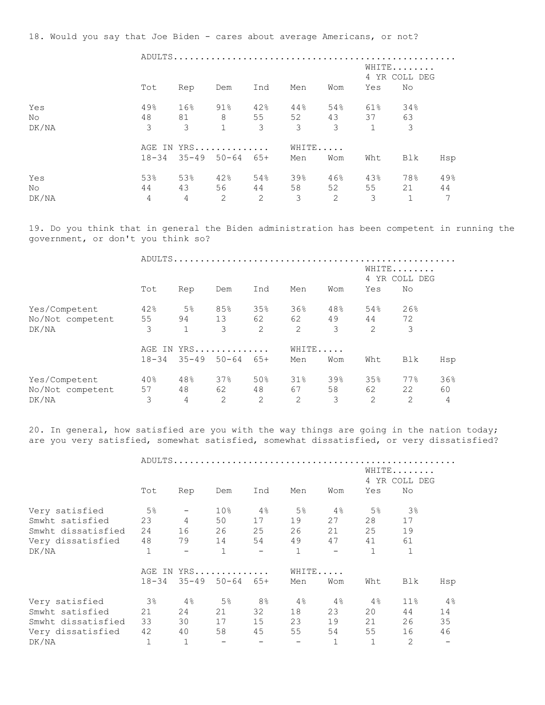18. Would you say that Joe Biden - cares about average Americans, or not?

|                     |                             |                  |                                             | WHITE<br>4 YR COLL DEG |                                      |                             |                   |                           |                |  |  |
|---------------------|-----------------------------|------------------|---------------------------------------------|------------------------|--------------------------------------|-----------------------------|-------------------|---------------------------|----------------|--|--|
|                     | Tot                         | Rep              | Dem                                         | Ind                    | Men                                  | Wom                         | Yes               | No                        |                |  |  |
| Yes<br>No.<br>DK/NA | 49%<br>48<br>$\mathcal{E}$  | 16%<br>81 —<br>3 | $91\%$<br>8 55<br>$\mathbf{1}$              | 42%<br>3               | 44%<br>52<br>$\overline{\mathbf{3}}$ | 54%<br>$\mathcal{S}$        | 61%<br>43 37<br>1 | 34%<br>63<br>3            |                |  |  |
|                     |                             |                  | AGE IN YRS<br>$18-34$ $35-49$ $50-64$ $65+$ |                        | WHITE<br>Men                         | Wom                         | Wht               | Blk                       | Hsp            |  |  |
|                     |                             |                  |                                             |                        |                                      |                             |                   |                           |                |  |  |
| Yes<br>No.<br>DK/NA | 53%<br>44<br>$\overline{4}$ | 53%<br>4         | 42%<br>43 56 44<br>$\overline{2}$           | 54%<br>2               | 39%<br>58<br>3                       | 46%<br>52<br>$\overline{2}$ | 43%<br>55<br>3    | 78%<br>21<br>$\mathbf{1}$ | 49%<br>44<br>7 |  |  |

19. Do you think that in general the Biden administration has been competent in running the government, or don't you think so?

|                  | ADULTS    |                           |                 |                |        |     |     |     |     |
|------------------|-----------|---------------------------|-----------------|----------------|--------|-----|-----|-----|-----|
|                  |           | WHITE<br>YR COLL DEG<br>4 |                 |                |        |     |     |     |     |
|                  | Tot       | Rep                       | Dem             | Ind            | Men    | Wom | Yes | No  |     |
| Yes/Competent    | 42%       | 5 <sup>°</sup>            | 85%             | 35%            | 36%    | 48% | 54% | 26% |     |
| No/Not competent | 55        | 94                        | 13              | 62             | 62     | 49  | 44  | 72  |     |
| DK/NA            | 3         | $\mathbf{1}$              | 3               | $\overline{2}$ | 2      | 3   | 2   | 3   |     |
|                  |           |                           | AGE IN YRS      |                | WHITE  |     |     |     |     |
|                  | $18 - 34$ |                           | $35 - 49$ 50-64 | 65+            | Men    | Wom | Wht | Blk | Hsp |
| Yes/Competent    | 40%       | 48%                       | 37%             | 50%            | $31\%$ | 39% | 35% | 77% | 36% |
| No/Not competent | 57        | 48                        | 62              | 48             | 67     | 58  | 62  | 22  | 60  |
| DK/NA            | 3         | 4                         | 2               | $\overline{2}$ | 2      | 3   | 2   | 2   | 4   |

20. In general, how satisfied are you with the way things are going in the nation today; are you very satisfied, somewhat satisfied, somewhat dissatisfied, or very dissatisfied?

|                    |           |                          |                              | WHITE<br>4 YR COLL DEG   |              |                          |                |        |     |  |  |
|--------------------|-----------|--------------------------|------------------------------|--------------------------|--------------|--------------------------|----------------|--------|-----|--|--|
|                    | Tot       | Rep                      | Dem                          | Ind                      | Men          | Wom                      | Yes            | No     |     |  |  |
| Very satisfied     | $5\%$     |                          | 10 <sup>°</sup>              | $4\,$ $^{\circ}\,$       | 5%           | 4%                       | 5 <sup>°</sup> | 3%     |     |  |  |
| Smwht satisfied    | 23        | $\overline{4}$           | 50                           | 17                       | 19           | 27                       | 28             | 17     |     |  |  |
| Smwht dissatisfied | 24        | 16                       | 26                           | 25                       | 26           | 21                       | 25             | 19     |     |  |  |
| Very dissatisfied  | 48        | 79                       | 14                           | 54                       | 49           | 47                       | 41             | 61     |     |  |  |
| DK/NA              | 1         | $\overline{\phantom{m}}$ | $\mathbf{1}$                 | $\overline{\phantom{a}}$ | $\mathbf{1}$ | $\overline{\phantom{0}}$ | $\mathbf{1}$   | 1      |     |  |  |
|                    | AGE IN    |                          | YRS                          |                          | WHITE        |                          |                |        |     |  |  |
|                    | $18 - 34$ | $35 - 49$ $50 - 64$      |                              | 65+                      | Men          | Wom                      | Wht            | Blk    | Hsp |  |  |
| Very satisfied     | 3%        | $4\,$                    | 5 <sup>°</sup>               | 8 <sup>°</sup>           | 4%           | $4\%$                    | 4%             | $11\%$ | 4%  |  |  |
| Smwht satisfied    | 21        | 24                       | 21                           | 32                       | 18           | 23                       | 20             | 44     | 14  |  |  |
| Smwht dissatisfied | 33        | 30                       | 17                           | 15                       | 23           | 19                       | 21             | 26     | 35  |  |  |
| Very dissatisfied  | 42        | 40                       | 58                           | 45                       | 55           | 54                       | 55             | 16     | 46  |  |  |
| DK/NA              | 1         | 1                        | $\qquad \qquad \blacksquare$ |                          |              | 1                        | 1              | 2      |     |  |  |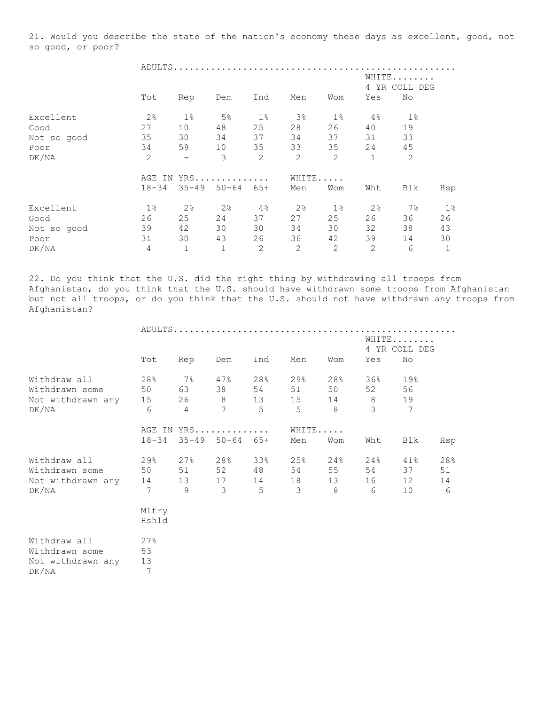21. Would you describe the state of the nation's economy these days as excellent, good, not so good, or poor?

 ADULTS..................................................... WHITE........ 4 YR COLL DEG Tot Rep Dem Ind Men Wom Yes No Excellent 2% 1% 5% 1% 3% 1% 4% 1% Good 27 10 48 25 28 26 40 19 Not so good 35 30 34 37 34 37 31 33 Poor 34 59 10 35 33 35 24 45 DK/NA 2 - 3 2 2 2 1 2 AGE IN YRS.............. WHITE..... 18-34 35-49 50-64 65+ Men Wom Wht Blk Hsp Excellent 1% 2% 2% 4% 2% 1% 2% 7% 1% Good 26 25 24 37 27 25 26 36 26 Not so good 39 42 30 30 34 30 32 38 43 Poor 31 30 43 26 36 42 39 14 30 DK/NA 4 1 1 2 2 2 2 6 1

22. Do you think that the U.S. did the right thing by withdrawing all troops from Afghanistan, do you think that the U.S. should have withdrawn some troops from Afghanistan but not all troops, or do you think that the U.S. should not have withdrawn any troops from Afghanistan?

|                      |           |                | ADULTS           |     |     |       |       |               |     |  |  |
|----------------------|-----------|----------------|------------------|-----|-----|-------|-------|---------------|-----|--|--|
|                      |           |                |                  |     |     |       |       | WHITE         |     |  |  |
|                      |           |                |                  |     |     |       |       | 4 YR COLL DEG |     |  |  |
|                      | Tot       | Rep            | Dem              | Ind | Men | Wom   | Yes   | No            |     |  |  |
| Withdraw all         | 28%       | $7\%$          | 47%              | 28% | 29% | 28%   | 36%   | 19%           |     |  |  |
| Withdrawn some       | 50        | 63             | 38               | 54  | 51  | 50    | 52    | 56            |     |  |  |
| Not withdrawn any 15 |           | 26             | 8                | 13  | 15  | 14    | $8\,$ | 19            |     |  |  |
| DK/NA                | 6         | $\overline{4}$ | $7\phantom{.0}$  | 5   | 5   | 8     | 3     | 7             |     |  |  |
|                      |           |                | AGE IN YRS       |     |     | WHITE |       |               |     |  |  |
|                      | $18 - 34$ | $35 - 49$      | $50 - 64$ $65 +$ |     | Men | Wom   | Wht   | Blk           | Hsp |  |  |
| Withdraw all         | 29%       | 27%            | 28%              | 33% | 25% | 24%   | 24%   | 41%           | 28% |  |  |
| Withdrawn some       | 50        | 51             | 52               | 48  | 54  | 55    | 54    | 37            | 51  |  |  |
| Not withdrawn any    | 14        | 13             | 17               | 14  | 18  | 13    | 16    | 12            | 14  |  |  |
| DK/NA                | 7         | $\mathcal{Q}$  | 3                | 5   | 3   | 8     | 6     | 10            | 6   |  |  |
|                      | Mltry     |                |                  |     |     |       |       |               |     |  |  |
|                      | Hshld     |                |                  |     |     |       |       |               |     |  |  |
| Withdraw all         | 27%       |                |                  |     |     |       |       |               |     |  |  |
| Withdrawn some       | 53        |                |                  |     |     |       |       |               |     |  |  |
| Not withdrawn any    | 13        |                |                  |     |     |       |       |               |     |  |  |
| DK/NA                | 7         |                |                  |     |     |       |       |               |     |  |  |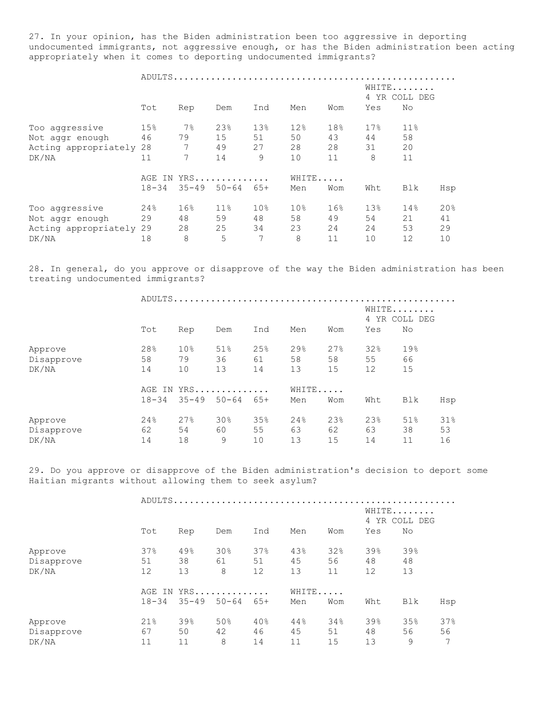27. In your opinion, has the Biden administration been too aggressive in deporting undocumented immigrants, not aggressive enough, or has the Biden administration been acting appropriately when it comes to deporting undocumented immigrants?

|                         | ADULTS.            |           |           |                 |                 |                 |       |               |     |  |
|-------------------------|--------------------|-----------|-----------|-----------------|-----------------|-----------------|-------|---------------|-----|--|
|                         |                    |           |           |                 |                 |                 | WHITE |               |     |  |
|                         |                    |           |           |                 |                 |                 |       | 4 YR COLL DEG |     |  |
|                         | Tot                | Rep       | Dem       | Ind             | Men             | Wom             | Yes   | No            |     |  |
| Too aggressive          | 15%                | $7\%$     | 23%       | 13%             | 12%             | 18%             | 17%   | 11%           |     |  |
| Not aggr enough         | 46                 | 79        | 15        | 51              | 50              | 43              | 44    | 58            |     |  |
| Acting appropriately 28 |                    | 7         | 49        | 27              | 28              | 28              | 31    | 20            |     |  |
| DK/NA                   | 11                 | 7         | 14        | 9               | 10              | 11              | 8     | 11            |     |  |
|                         | $YRS$<br>AGE<br>IN |           |           |                 |                 | WHITE           |       |               |     |  |
|                         | $18 - 34$          | $35 - 49$ | $50 - 64$ | $65+$           | Men             | Wom             | Wht   | Blk           | Hsp |  |
| Too aggressive          | 24%                | 16%       | $11\%$    | 10 <sup>°</sup> | 10 <sub>8</sub> | 16 <sup>°</sup> | 13%   | 14%           | 20% |  |
| Not aggr enough         | 29                 | 48        | 59        | 48              | 58              | 49              | 54    | 21            | 41  |  |
| Acting appropriately 29 |                    | 28        | 25        | 34              | 23              | 24              | 24    | 53            | 29  |  |
| DK/NA                   | 18                 | 8         | 5         | 7               | 8               | 11              | 10    | 12            | 10  |  |

28. In general, do you approve or disapprove of the way the Biden administration has been treating undocumented immigrants?

|            |           | ADULTS.         |           |     |     |       |     |     |                        |  |  |  |  |
|------------|-----------|-----------------|-----------|-----|-----|-------|-----|-----|------------------------|--|--|--|--|
|            |           |                 |           |     |     |       |     |     | WHITE<br>4 YR COLL DEG |  |  |  |  |
|            | Tot       | Rep             | Dem       | Ind | Men | Wom   | Yes | No  |                        |  |  |  |  |
| Approve    | 28%       | 10 <sub>8</sub> | 51%       | 25% | 29% | 27%   | 32% | 19% |                        |  |  |  |  |
| Disapprove | 58        | 79              | 36        | 61  | 58  | 58    | 55  | 66  |                        |  |  |  |  |
| DK/NA      | 14        | 10              | 13        | 14  | 13  | 15    | 12  | 15  |                        |  |  |  |  |
|            |           | AGE IN YRS      |           |     |     | WHITE |     |     |                        |  |  |  |  |
|            | $18 - 34$ | $35 - 49$       | $50 - 64$ | 65+ | Men | Wom   | Wht | Blk | Hsp                    |  |  |  |  |
| Approve    | 24%       | 27%             | 30%       | 35% | 24% | 23%   | 23% | 51% | 31%                    |  |  |  |  |
| Disapprove | 62        | 54              | 60        | 55  | 63  | 62    | 63  | 38  | 53                     |  |  |  |  |
| DK/NA      | 14        | 18              | 9         | 10  | 13  | 15    | 14  | 11  | 16                     |  |  |  |  |

29. Do you approve or disapprove of the Biden administration's decision to deport some Haitian migrants without allowing them to seek asylum?

|            |           |            | ADULTS    |       |     |     |                   |     |                      |  |
|------------|-----------|------------|-----------|-------|-----|-----|-------------------|-----|----------------------|--|
|            |           |            |           |       |     |     |                   |     | WHITE<br>YR COLL DEG |  |
|            | Tot       | Rep        | Dem       | Ind   | Men | Wom | Yes               | No  |                      |  |
| Approve    | 37%       | 49%        | 30%       | 37%   | 43% | 32% | 39%               | 39% |                      |  |
| Disapprove | 51        | 38         | 61        | 51    | 45  | 56  | 48                | 48  |                      |  |
| DK/NA      | 12        | 13         | 8         | 12    | 13  | 11  | $12 \overline{ }$ | 13  |                      |  |
|            |           | AGE IN YRS |           |       |     |     | WHITE             |     |                      |  |
|            | $18 - 34$ | $35 - 49$  | $50 - 64$ | $65+$ | Men | Wom | Wht               | Blk | Hsp                  |  |
| Approve    | 21%       | 39%        | 50%       | 40%   | 44% | 34% | 39%               | 35% | 37%                  |  |
| Disapprove | 67        | 50         | 42        | 46    | 45  | 51  | 48                | 56  | 56                   |  |
| DK/NA      | 11        | 11         | 8         | 14    | 11  | 15  | 13                | 9   | 7                    |  |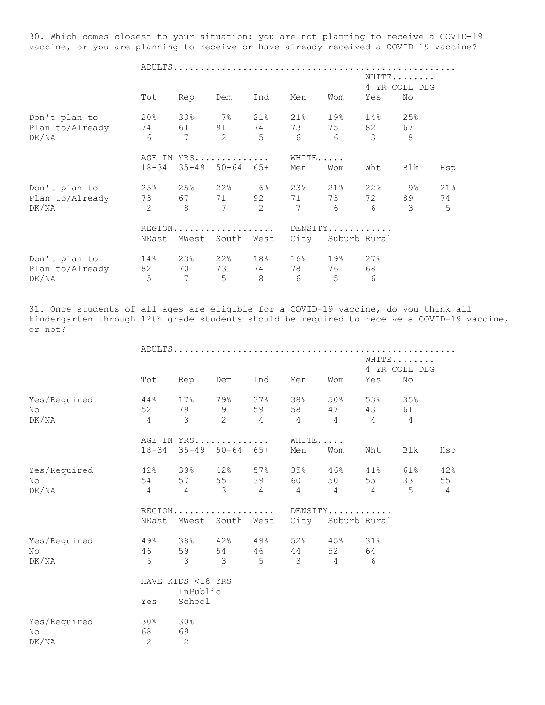30. Which comes closest to your situation: you are not planning to receive a COVID-19 vaccine, or you are planning to receive or have already received a COVID-19 vaccine?

ADULTS.....................................................

|                 |                |         |                            |                |      |                 |              | WHITE<br>4 YR COLL DEG |     |  |  |
|-----------------|----------------|---------|----------------------------|----------------|------|-----------------|--------------|------------------------|-----|--|--|
|                 | Tot            | Rep     | Dem                        | Ind            | Men  | Wom             | Yes          | No                     |     |  |  |
| Don't plan to   | $20\%$         | 33%     | 7%                         | $21\%$         | 21%  | 19%             | 14%          | 25%                    |     |  |  |
| Plan to/Already | 74             | 61 — 10 |                            | 91 74          | 73   | 75              | 82           | 67                     |     |  |  |
| DK/NA           | 6              | 7       | 2                          | 5              | 6    | $6\overline{6}$ | 3            | 8                      |     |  |  |
|                 | AGE IN YRS     |         |                            |                |      | WHITE           |              |                        |     |  |  |
|                 | $18 - 34$      |         | $35 - 49$ $50 - 64$ $65 +$ |                | Men  | Wom             | Wht          | Blk                    | Hsp |  |  |
| Don't plan to   | 25%            | 25%     | 22%                        | <u>େ</u> କର    | 23%  | $21\%$          | 22%          | 9%                     | 21% |  |  |
| Plan to/Already | 73             | 67 — 10 | 71                         | 92             | 71   | 73              | 72           | 89                     | 74  |  |  |
| DK/NA           | $\overline{2}$ | 8       | 7                          | $\overline{2}$ | 7    | 6               | 6            | 3                      | 5   |  |  |
|                 |                |         | REGION                     |                |      |                 | DENSITY      |                        |     |  |  |
|                 | NEast          |         | MWest South                | West           | City |                 | Suburb Rural |                        |     |  |  |
| Don't plan to   | 14%            | 23%     | 22%                        | 18%            | 16%  | 19%             | 27%          |                        |     |  |  |
| Plan to/Already | 82             | 70      | 73                         | 74             | 78   | 76              | 68           |                        |     |  |  |
| DK/NA           | 5              | 7       | 5                          | 8              | 6    | 5               | 6            |                        |     |  |  |

31. Once students of all ages are eligible for a COVID-19 vaccine, do you think all kindergarten through 12th grade students should be required to receive a COVID-19 vaccine, or not?

|                              |                                                            |                                                                    |     | WHITE<br>4 YR COLL DEG |                                |                                                  |                |                                       |                             |  |  |
|------------------------------|------------------------------------------------------------|--------------------------------------------------------------------|-----|------------------------|--------------------------------|--------------------------------------------------|----------------|---------------------------------------|-----------------------------|--|--|
|                              | Tot                                                        | Rep                                                                | Dem | Ind                    | Men                            | Wom                                              | Yes            | No                                    |                             |  |  |
| Yes/Required<br>No.<br>DK/NA | $44\,$ $^{\circ}\,$<br>52 0<br>$\overline{4}$              | $\mathcal{E}$                                                      |     |                        | $2 \qquad 4 \qquad 4 \qquad 4$ | 17% 79% 37% 38% 50% 53% 35%<br>79 19 59 58 47 43 | $\overline{4}$ | 61<br>4                               |                             |  |  |
|                              |                                                            | AGE IN YRS WHITE<br>18-34 35-49 50-64 65+                          |     |                        | Men                            | Wom                                              | Wht            | Blk                                   | Hsp                         |  |  |
| Yes/Required<br>No.<br>DK/NA | 42%                                                        | 39% 42% 57%<br>54 57 55 39 60<br>$4 \qquad 4 \qquad 3 \qquad 4$    |     |                        | 35%                            | $4$ $4$ $4$                                      |                | $46\%$ $41\%$ $61\%$<br>50 55 33<br>5 | 42%<br>55<br>$\overline{4}$ |  |  |
|                              | REGION DENSITY<br>NEast MWest South West City Suburb Rural |                                                                    |     |                        |                                |                                                  |                |                                       |                             |  |  |
| Yes/Required<br>No<br>DK/NA  |                                                            | 46 59 54 46 44<br>$5 \qquad 3 \qquad 3 \qquad 5 \qquad 3 \qquad 4$ |     |                        |                                | 49% 38% 42% 49% 52% 45% 31%<br>52 64             | 6              |                                       |                             |  |  |
|                              | Yes                                                        | HAVE KIDS <18 YRS<br>InPublic<br>School                            |     |                        |                                |                                                  |                |                                       |                             |  |  |
| Yes/Required<br>No<br>DK/NA  | 30%<br>68<br>2                                             | 30%<br>69<br>2                                                     |     |                        |                                |                                                  |                |                                       |                             |  |  |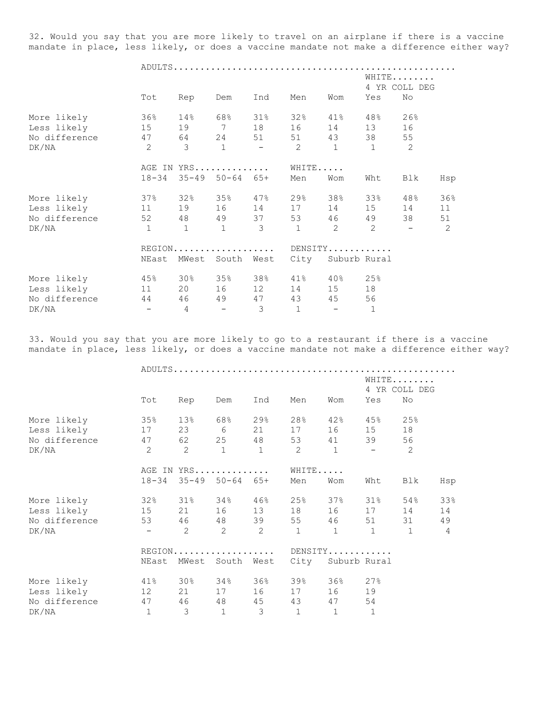32. Would you say that you are more likely to travel on an airplane if there is a vaccine mandate in place, less likely, or does a vaccine mandate not make a difference either way?

ADULTS.....................................................

|                |                |                            |                          |                      |                |                         |                | WHITE         |     |  |
|----------------|----------------|----------------------------|--------------------------|----------------------|----------------|-------------------------|----------------|---------------|-----|--|
|                |                |                            |                          |                      |                |                         |                | 4 YR COLL DEG |     |  |
|                | Tot            | Rep                        | Dem                      | Ind                  | Men            | Wom                     | Yes            | No            |     |  |
| More likely    | 36%            |                            |                          | 14% 68% 31%          | 32%            | $41\%$                  | 48%            | 26%           |     |  |
| Less likely 15 |                |                            |                          | 19 7 18 16           |                | 14                      | 13             | 16            |     |  |
| No difference  | 47             |                            |                          | 64 24 51 51          |                | 43                      | 38             | 55            |     |  |
| DK/NA          | $\overline{c}$ | $\mathcal{E}$              |                          | $1 - 2$              |                | 1                       | $\overline{1}$ | 2             |     |  |
|                | AGE IN YRS     |                            |                          |                      | WHITE          |                         |                |               |     |  |
|                | $18 - 34$      | $35 - 49$ $50 - 64$ $65 +$ |                          |                      | Men            | Wom                     | Wht            | Blk           | Hsp |  |
| More likely    | 37%            |                            |                          | $32\%$ $35\%$ $47\%$ | 29%            | 38%                     | 33%            | 48%           | 36% |  |
| Less likely    | 11             |                            |                          | 19 16 14 17          |                | 14                      | 15             | 14            | 11  |  |
| No difference  | 52             |                            |                          | 48 49 37 53          |                | 46                      | 49             | 38            | 51  |  |
| DK/NA          | $\mathbf{1}$   | $\mathbf{1}$               | $\mathbf{1}$             | 3                    | $\mathbf{1}$   | 2                       | $\overline{2}$ |               | 2   |  |
|                |                | REGION                     |                          |                      |                | DENSITY                 |                |               |     |  |
|                | NEast          | MWest South West           |                          |                      | City           | Suburb Rural            |                |               |     |  |
| More likely    | 45%            | $30\%$ $35\%$ $38\%$       |                          |                      | 41%            | 40% 25%                 |                |               |     |  |
| Less likely    | 11             | 20                         | 16                       | 12                   | 14             | 15                      | 18             |               |     |  |
| No difference  | 44             | 46                         | 49                       | 47                   | 43             | 45                      | 56             |               |     |  |
| DK/NA          | $\sim$ $-$     | $\overline{4}$             | $\overline{\phantom{a}}$ | 3                    | $\overline{1}$ | $\sim 100$ km s $^{-1}$ | $\mathbf{1}$   |               |     |  |

33. Would you say that you are more likely to go to a restaurant if there is a vaccine mandate in place, less likely, or does a vaccine mandate not make a difference either way?

|                         |                             |                            |                |                |                   | WHITE<br>4 YR COLL DEG |                |                |
|-------------------------|-----------------------------|----------------------------|----------------|----------------|-------------------|------------------------|----------------|----------------|
| Tot                     | Rep                         | Dem                        | Ind            | Men            | Wom               | Yes                    | No             |                |
| 35%<br>More likely      | 13%                         | 68% 29%                    |                | 28%            |                   | $42\%$ $45\%$          | 25%            |                |
| Less likely<br>17       |                             | 23 6 21                    |                | 17             | 16 15             |                        | 18             |                |
| No difference<br>47     |                             | 62 25 48                   |                | 53             | 41                | 39                     | 56             |                |
| $\overline{2}$<br>DK/NA | 2                           | $\sim$ 1                   | $1 \t 2$       |                | $\sim$ 1          | $\sim$ $-$             | 2              |                |
|                         | AGE IN YRS                  |                            |                | WHITE          |                   |                        |                |                |
| $18 - 34$               |                             | $35 - 49$ $50 - 64$ $65 +$ |                | Men            | Wom               | Wht                    | Blk            | Hsp            |
| More likely             | $32\%$ $31\%$ $34\%$ $46\%$ |                            |                |                | 25% 37% 31%       |                        | 54%            | 33%            |
| Less likely 15          |                             | 21 16 13 18                |                |                | 16 17             |                        | 14             | 14             |
| 53<br>No difference     |                             | 46 48 39 55                |                |                |                   | 46 51                  | 31             | 49             |
| DK/NA                   | 2<br>$\sim$ $-$             | $\overline{2}$             | $\overline{c}$ | $1 \quad 1$    |                   | 1                      | $\overline{1}$ | $\overline{4}$ |
|                         | REGION                      |                            |                | $DENSITY$      |                   |                        |                |                |
| NEast                   | MWest                       | South                      | West           |                | City Suburb Rural |                        |                |                |
| More likely             | 41% 30% 34% 36%             |                            |                | 39%            | 36% 27%           |                        |                |                |
| Less likely<br>12       |                             | 21 17 16                   |                | 17             | 16 19             |                        |                |                |
| No difference           | 47<br>46 48                 |                            | 45             | 43             | 47 54             |                        |                |                |
| 1<br>DK/NA              | $\mathcal{S}$               | $\overline{1}$             | $\mathcal{S}$  | $\overline{1}$ | $\mathbf{1}$      | $\mathbf{1}$           |                |                |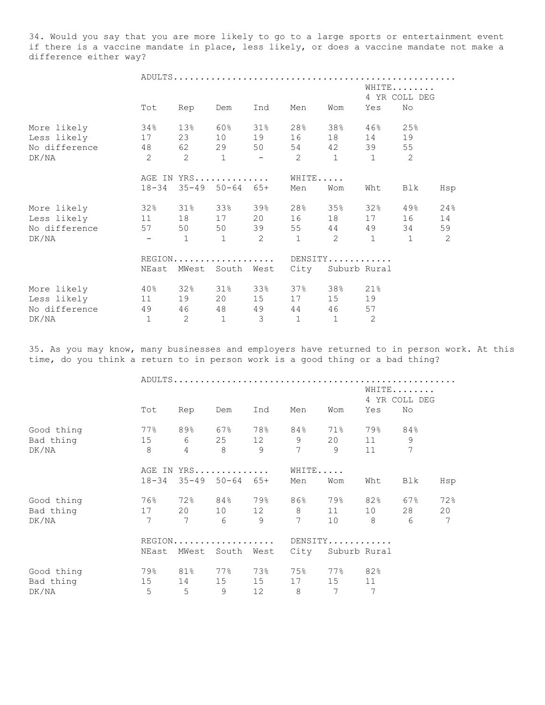34. Would you say that you are more likely to go to a large sports or entertainment event if there is a vaccine mandate in place, less likely, or does a vaccine mandate not make a difference either way?

|               |                                         |                |                             |                         |                |                        |                                     | WHITE         |     |
|---------------|-----------------------------------------|----------------|-----------------------------|-------------------------|----------------|------------------------|-------------------------------------|---------------|-----|
|               |                                         |                |                             |                         |                |                        |                                     | 4 YR COLL DEG |     |
|               | Tot                                     | Rep            | Dem                         | Ind                     | Men            | Wom                    | Yes                                 | No            |     |
| More likely   | 34%                                     |                | $13\%$ 60%                  | $31\%$                  |                |                        | $28\%$ 38% 46%                      | 25%           |     |
| Less likely   | 17                                      |                | 23 10 19                    |                         | 16             |                        | 18   14                             | 19            |     |
| No difference | 48                                      |                | 62 29 50                    |                         |                |                        | 54 42 39                            | 55            |     |
| DK/NA         | $2 \qquad 2 \qquad 1 \qquad - \qquad 2$ |                |                             |                         |                | $1 \quad \blacksquare$ |                                     | $1 \t 2$      |     |
|               |                                         |                | AGE IN YRS                  |                         | WHITE          |                        |                                     |               |     |
|               | $18 - 34$                               |                | $35 - 49$ $50 - 64$ $65 +$  |                         | Men            | Wom                    | Wht                                 | Blk           | Hsp |
| More likely   |                                         |                | $32\%$ $31\%$ $33\%$ $39\%$ |                         |                |                        | 28% 35% 32%                         | 49%           | 24% |
| Less likely   | 11                                      |                | 18 17 20                    |                         | 16             |                        | 18 17                               | 16            | 14  |
| No difference | 57                                      |                | 50 50 39                    |                         |                |                        | 55 44 49                            | 34            | 59  |
| DK/NA         | and the company of the                  | $\overline{1}$ | $\sim$ 1                    | $2 \t 1$                |                |                        | $2 \qquad \qquad 1 \qquad \qquad 1$ |               | 2   |
|               |                                         |                | REGION DENSITY              |                         |                |                        |                                     |               |     |
|               | NEast                                   |                | MWest South West            |                         |                |                        | City Suburb Rural                   |               |     |
| More likely   | $40\%$                                  |                | 32% 31% 33%                 |                         |                | 37% 38% 21%            |                                     |               |     |
| Less likely   | 11                                      |                | 19 20 15                    |                         | 17             | 15 19                  |                                     |               |     |
| No difference | 49                                      |                | 46 48 49                    |                         | 44             | 46                     | 57                                  |               |     |
| DK/NA         | $\mathbf{1}$                            | $\overline{c}$ | $\overline{1}$              | $\overline{\mathbf{3}}$ | $\overline{1}$ | $\overline{1}$         | 2                                   |               |     |

35. As you may know, many businesses and employers have returned to in person work. At this time, do you think a return to in person work is a good thing or a bad thing?

|                    | Tot             | Rep                 | Dem                        | Ind            | Men                 | Wom                  | Yes      | WHITE<br>4 YR COLL DEG<br>No |     |  |  |
|--------------------|-----------------|---------------------|----------------------------|----------------|---------------------|----------------------|----------|------------------------------|-----|--|--|
| Good thing         | 77%             | 89%                 | 67%                        | 78%            | 84%                 | 71%                  | 79%      | 84%                          |     |  |  |
| Bad thing<br>DK/NA | 15<br>8         | 6<br>$\overline{4}$ | 25<br>8 <sup>8</sup>       | 12<br>9        | 9<br>$\overline{7}$ | 20<br>$\overline{9}$ | 11<br>11 | 9<br>7                       |     |  |  |
|                    |                 |                     | AGE IN YRS                 |                | WHITE               |                      |          |                              |     |  |  |
|                    | $18 - 34$       |                     | $35 - 49$ $50 - 64$ $65 +$ |                | Men                 | Wom                  | Wht      | Blk                          | Hsp |  |  |
| Good thing         | 76%             | 72%                 | 84% 79%                    |                | 8 6 %               | 79%                  | 82%      | 67%                          | 72% |  |  |
| Bad thing          | 17              | 20                  |                            | 10 12 8        |                     | 11                   | 10       | 28                           | 20  |  |  |
| DK/NA              | $7\phantom{.0}$ | 7                   | 6                          | $\overline{9}$ | 7                   | 10 <sup>1</sup>      | 8        | $6\overline{6}$              | 7   |  |  |
|                    |                 |                     | REGION                     |                |                     | DENSITY              |          |                              |     |  |  |
|                    | NEast           | MWest               | South West                 |                | City                | Suburb Rural         |          |                              |     |  |  |
| Good thing         | 79%             | 81%                 | 77%                        | 73%            | 75%                 | 77%                  | 82%      |                              |     |  |  |
| Bad thing          | 15              | 14                  | 15                         | 15             | 17                  | 15                   | 11       |                              |     |  |  |
| DK/NA              | 5               | 5                   | 9                          | 12             | 8                   | 7                    | 7        |                              |     |  |  |